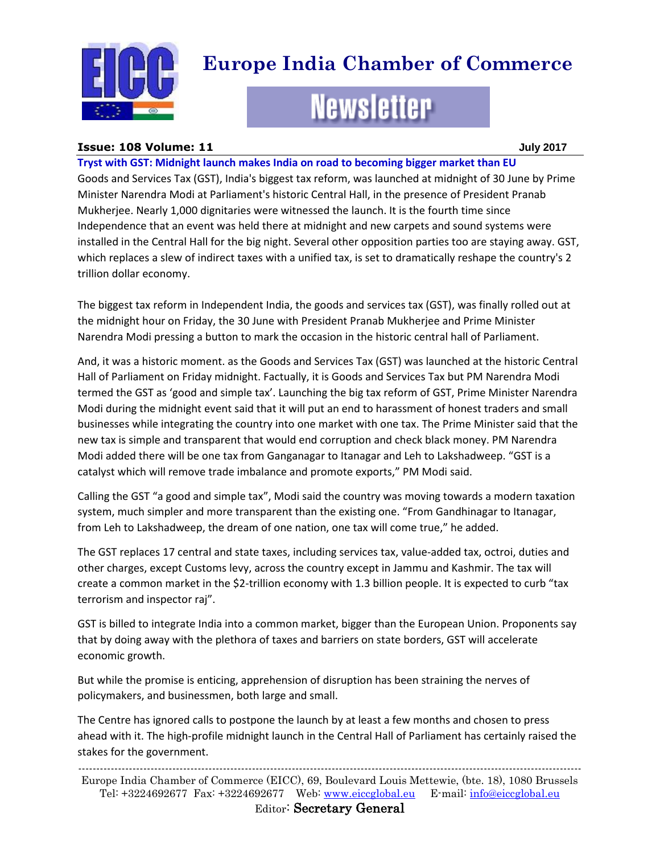

# **Europe India Chamber of Commerce**

# **Newsletter**

#### **Issue: 108 Volume: 11 July 2017**

**Tryst with GST: Midnight launch makes India on road to becoming bigger market than EU**  Goods and Services Tax (GST), India's biggest tax reform, was launched at midnight of 30 June by Prime Minister Narendra Modi at Parliament's historic Central Hall, in the presence of President Pranab Mukherjee. Nearly 1,000 dignitaries were witnessed the launch. It is the fourth time since Independence that an event was held there at midnight and new carpets and sound systems were installed in the Central Hall for the big night. Several other opposition parties too are staying away. GST, which replaces a slew of indirect taxes with a unified tax, is set to dramatically reshape the country's 2 trillion dollar economy.

The biggest tax reform in Independent India, the goods and services tax (GST), was finally rolled out at the midnight hour on Friday, the 30 June with President Pranab Mukherjee and Prime Minister Narendra Modi pressing a button to mark the occasion in the historic central hall of Parliament.

And, it was a historic moment. as the Goods and Services Tax (GST) was launched at the historic Central Hall of Parliament on Friday midnight. Factually, it is Goods and Services Tax but PM Narendra Modi termed the GST as 'good and simple tax'. Launching the big tax reform of GST, Prime Minister Narendra Modi during the midnight event said that it will put an end to harassment of honest traders and small businesses while integrating the country into one market with one tax. The Prime Minister said that the new tax is simple and transparent that would end corruption and check black money. PM Narendra Modi added there will be one tax from Ganganagar to Itanagar and Leh to Lakshadweep. "GST is a catalyst which will remove trade imbalance and promote exports," PM Modi said.

Calling the GST "a good and simple tax", Modi said the country was moving towards a modern taxation system, much simpler and more transparent than the existing one. "From Gandhinagar to Itanagar, from Leh to Lakshadweep, the dream of one nation, one tax will come true," he added.

The GST replaces 17 central and state taxes, including services tax, value-added tax, octroi, duties and other charges, except Customs levy, across the country except in Jammu and Kashmir. The tax will create a common market in the \$2-trillion economy with 1.3 billion people. It is expected to curb "tax terrorism and inspector raj".

GST is billed to integrate India into a common market, bigger than the European Union. Proponents say that by doing away with the plethora of taxes and barriers on state borders, GST will accelerate economic growth.

But while the promise is enticing, apprehension of disruption has been straining the nerves of policymakers, and businessmen, both large and small.

The Centre has ignored calls to postpone the launch by at least a few months and chosen to press ahead with it. The high-profile midnight launch in the Central Hall of Parliament has certainly raised the stakes for the government.

------------------------------------------------------------------------------------------------------------------------------------------- Europe India Chamber of Commerce (EICC), 69, Boulevard Louis Mettewie, (bte. 18), 1080 Brussels Tel: +3224692677 Fax: +3224692677 Web: [www.eiccglobal.eu](http://www.eiccglobal.eu/) E-mail: [info@eiccglobal.eu](mailto:info@eiccglobal.eu)

Editor: Secretary General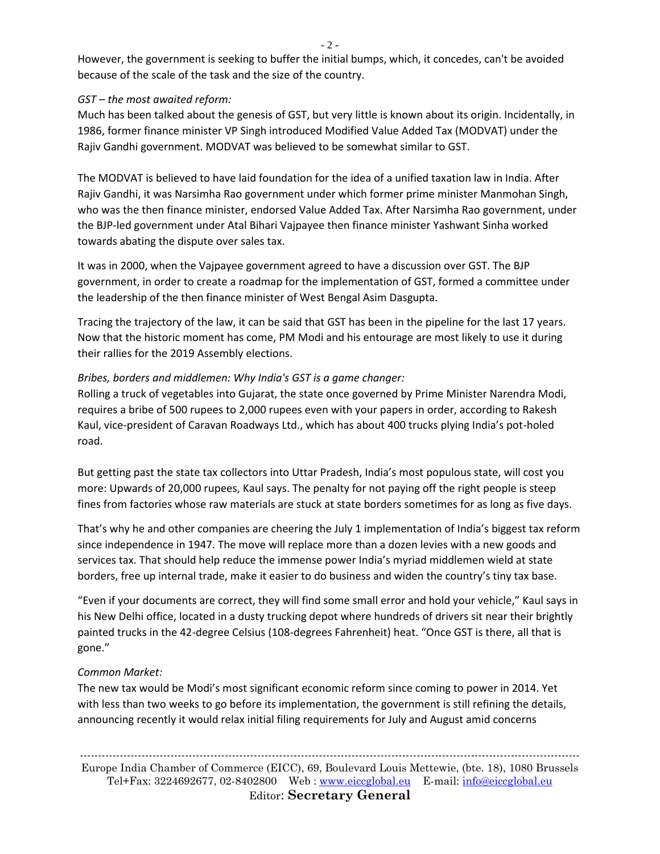- 2 -

However, the government is seeking to buffer the initial bumps, which, it concedes, can't be avoided because of the scale of the task and the size of the country.

#### *GST – the most awaited reform:*

Much has been talked about the genesis of GST, but very little is known about its origin. Incidentally, in 1986, former finance minister VP Singh introduced Modified Value Added Tax (MODVAT) under the Rajiv Gandhi government. MODVAT was believed to be somewhat similar to GST.

The MODVAT is believed to have laid foundation for the idea of a unified taxation law in India. After Rajiv Gandhi, it was Narsimha Rao government under which former prime minister Manmohan Singh, who was the then finance minister, endorsed Value Added Tax. After Narsimha Rao government, under the BJP-led government under Atal Bihari Vajpayee then finance minister Yashwant Sinha worked towards abating the dispute over sales tax.

It was in 2000, when the Vajpayee government agreed to have a discussion over GST. The BJP government, in order to create a roadmap for the implementation of GST, formed a committee under the leadership of the then finance minister of West Bengal Asim Dasgupta.

Tracing the trajectory of the law, it can be said that GST has been in the pipeline for the last 17 years. Now that the historic moment has come, PM Modi and his entourage are most likely to use it during their rallies for the 2019 Assembly elections.

### *Bribes, borders and middlemen: Why India's GST is a game changer:*

Rolling a truck of vegetables into Gujarat, the state once governed by Prime Minister Narendra Modi, requires a bribe of 500 rupees to 2,000 rupees even with your papers in order, according to Rakesh Kaul, vice-president of Caravan Roadways Ltd., which has about 400 trucks plying India's pot-holed road.

But getting past the state tax collectors into Uttar Pradesh, India's most populous state, will cost you more: Upwards of 20,000 rupees, Kaul says. The penalty for not paying off the right people is steep fines from factories whose raw materials are stuck at state borders sometimes for as long as five days.

That's why he and other companies are cheering the July 1 implementation of India's biggest tax reform since independence in 1947. The move will replace more than a dozen levies with a new goods and services tax. That should help reduce the immense power India's myriad middlemen wield at state borders, free up internal trade, make it easier to do business and widen the country's tiny tax base.

"Even if your documents are correct, they will find some small error and hold your vehicle," Kaul says in his New Delhi office, located in a dusty trucking depot where hundreds of drivers sit near their brightly painted trucks in the 42-degree Celsius (108-degrees Fahrenheit) heat. "Once GST is there, all that is gone."

## *Common Market:*

The new tax would be Modi's most significant economic reform since coming to power in 2014. Yet with less than two weeks to go before its implementation, the government is still refining the details, announcing recently it would relax initial filing requirements for July and August amid concerns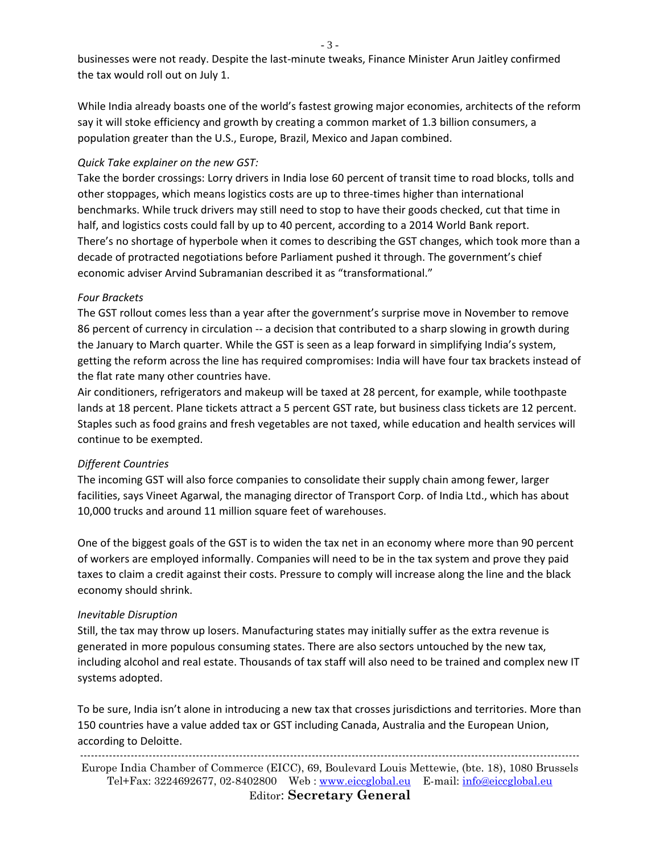businesses were not ready. Despite the last-minute tweaks, Finance Minister Arun Jaitley confirmed the tax would roll out on July 1.

While India already boasts one of the world's fastest growing major economies, architects of the reform say it will stoke efficiency and growth by creating a common market of 1.3 billion consumers, a population greater than the U.S., Europe, Brazil, Mexico and Japan combined.

#### *Quick Take explainer on the new GST:*

Take the border crossings: Lorry drivers in India lose 60 percent of transit time to road blocks, tolls and other stoppages, which means logistics costs are up to three-times higher than international benchmarks. While truck drivers may still need to stop to have their goods checked, cut that time in half, and logistics costs could fall by up to 40 percent, according to a 2014 World Bank report. There's no shortage of hyperbole when it comes to describing the GST changes, which took more than a decade of protracted negotiations before Parliament pushed it through. The government's chief economic adviser Arvind Subramanian described it as "transformational."

#### *Four Brackets*

The GST rollout comes less than a year after the government's surprise move in November to remove 86 percent of currency in circulation -- a decision that contributed to a sharp slowing in growth during the January to March quarter. While the GST is seen as a leap forward in simplifying India's system, getting the reform across the line has required compromises: India will have four tax brackets instead of the flat rate many other countries have.

Air conditioners, refrigerators and makeup will be taxed at 28 percent, for example, while toothpaste lands at 18 percent. Plane tickets attract a 5 percent GST rate, but business class tickets are 12 percent. Staples such as food grains and fresh vegetables are not taxed, while education and health services will continue to be exempted.

#### *Different Countries*

The incoming GST will also force companies to consolidate their supply chain among fewer, larger facilities, says Vineet Agarwal, the managing director of Transport Corp. of India Ltd., which has about 10,000 trucks and around 11 million square feet of warehouses.

One of the biggest goals of the GST is to widen the tax net in an economy where more than 90 percent of workers are employed informally. Companies will need to be in the tax system and prove they paid taxes to claim a credit against their costs. Pressure to comply will increase along the line and the black economy should shrink.

#### *Inevitable Disruption*

Still, the tax may throw up losers. Manufacturing states may initially suffer as the extra revenue is generated in more populous consuming states. There are also sectors untouched by the new tax, including alcohol and real estate. Thousands of tax staff will also need to be trained and complex new IT systems adopted.

To be sure, India isn't alone in introducing a new tax that crosses jurisdictions and territories. More than 150 countries have a value added tax or GST including Canada, Australia and the European Union, according to Deloitte.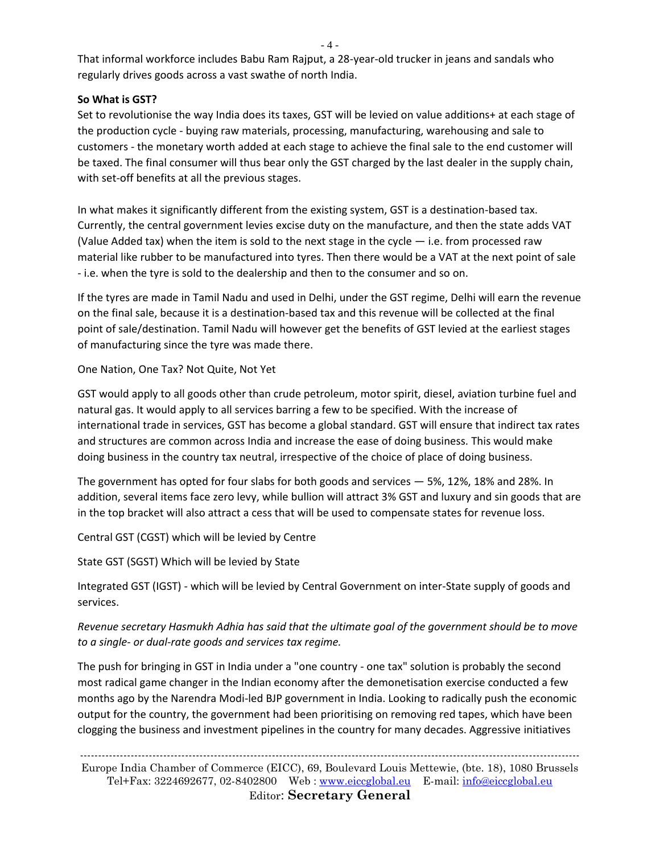$-4-$ 

That informal workforce includes Babu Ram Rajput, a 28-year-old trucker in jeans and sandals who regularly drives goods across a vast swathe of north India.

#### **So What is GST?**

Set to revolutionise the way India does its taxes, GST will be levied on value additions+ at each stage of the production cycle - buying raw materials, processing, manufacturing, warehousing and sale to customers - the monetary worth added at each stage to achieve the final sale to the end customer will be taxed. The final consumer will thus bear only the GST charged by the last dealer in the supply chain, with set-off benefits at all the previous stages.

In what makes it significantly different from the existing system, GST is a destination-based tax. Currently, the central government levies excise duty on the manufacture, and then the state adds VAT (Value Added tax) when the item is sold to the next stage in the cycle  $-$  i.e. from processed raw material like rubber to be manufactured into tyres. Then there would be a VAT at the next point of sale - i.e. when the tyre is sold to the dealership and then to the consumer and so on.

If the tyres are made in Tamil Nadu and used in Delhi, under the GST regime, Delhi will earn the revenue on the final sale, because it is a destination-based tax and this revenue will be collected at the final point of sale/destination. Tamil Nadu will however get the benefits of GST levied at the earliest stages of manufacturing since the tyre was made there.

One Nation, One Tax? Not Quite, Not Yet

GST would apply to all goods other than crude petroleum, motor spirit, diesel, aviation turbine fuel and natural gas. It would apply to all services barring a few to be specified. With the increase of international trade in services, GST has become a global standard. GST will ensure that indirect tax rates and structures are common across India and increase the ease of doing business. This would make doing business in the country tax neutral, irrespective of the choice of place of doing business.

The government has opted for four slabs for both goods and services — 5%, 12%, 18% and 28%. In addition, several items face zero levy, while bullion will attract 3% GST and luxury and sin goods that are in the top bracket will also attract a cess that will be used to compensate states for revenue loss.

Central GST (CGST) which will be levied by Centre

State GST (SGST) Which will be levied by State

Integrated GST (IGST) - which will be levied by Central Government on inter-State supply of goods and services.

*Revenue secretary Hasmukh Adhia has said that the ultimate goal of the government should be to move to a single- or dual-rate goods and services tax regime.* 

The push for bringing in GST in India under a "one country - one tax" solution is probably the second most radical game changer in the Indian economy after the demonetisation exercise conducted a few months ago by the Narendra Modi-led BJP government in India. Looking to radically push the economic output for the country, the government had been prioritising on removing red tapes, which have been clogging the business and investment pipelines in the country for many decades. Aggressive initiatives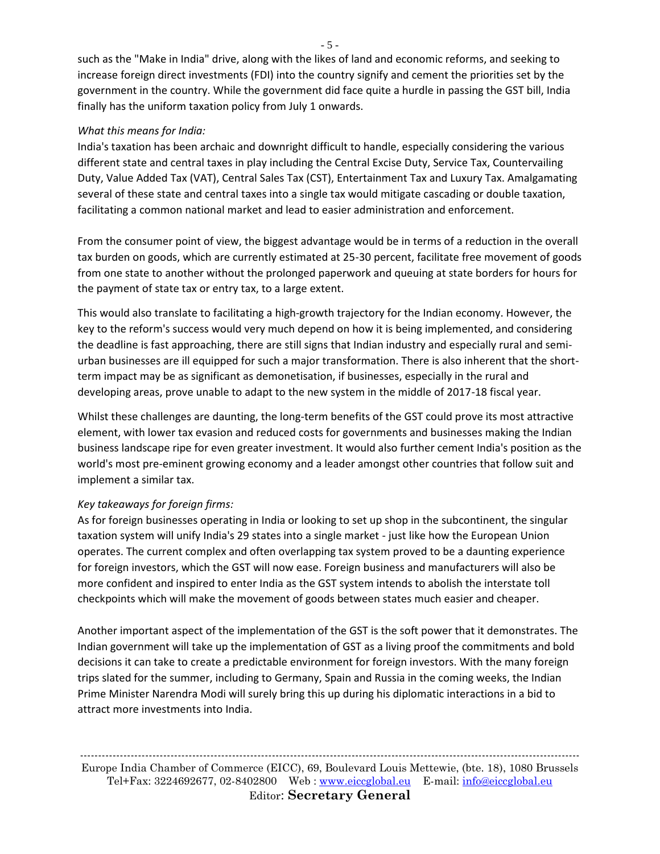such as the "Make in India" drive, along with the likes of land and economic reforms, and seeking to increase foreign direct investments (FDI) into the country signify and cement the priorities set by the government in the country. While the government did face quite a hurdle in passing the GST bill, India finally has the uniform taxation policy from July 1 onwards.

#### *What this means for India:*

India's taxation has been archaic and downright difficult to handle, especially considering the various different state and central taxes in play including the Central Excise Duty, Service Tax, Countervailing Duty, Value Added Tax (VAT), Central Sales Tax (CST), Entertainment Tax and Luxury Tax. Amalgamating several of these state and central taxes into a single tax would mitigate cascading or double taxation, facilitating a common national market and lead to easier administration and enforcement.

From the consumer point of view, the biggest advantage would be in terms of a reduction in the overall tax burden on goods, which are currently estimated at 25-30 percent, facilitate free movement of goods from one state to another without the prolonged paperwork and queuing at state borders for hours for the payment of state tax or entry tax, to a large extent.

This would also translate to facilitating a high-growth trajectory for the Indian economy. However, the key to the reform's success would very much depend on how it is being implemented, and considering the deadline is fast approaching, there are still signs that Indian industry and especially rural and semiurban businesses are ill equipped for such a major transformation. There is also inherent that the shortterm impact may be as significant as demonetisation, if businesses, especially in the rural and developing areas, prove unable to adapt to the new system in the middle of 2017-18 fiscal year.

Whilst these challenges are daunting, the long-term benefits of the GST could prove its most attractive element, with lower tax evasion and reduced costs for governments and businesses making the Indian business landscape ripe for even greater investment. It would also further cement India's position as the world's most pre-eminent growing economy and a leader amongst other countries that follow suit and implement a similar tax.

#### *Key takeaways for foreign firms:*

As for foreign businesses operating in India or looking to set up shop in the subcontinent, the singular taxation system will unify India's 29 states into a single market - just like how the European Union operates. The current complex and often overlapping tax system proved to be a daunting experience for foreign investors, which the GST will now ease. Foreign business and manufacturers will also be more confident and inspired to enter India as the GST system intends to abolish the interstate toll checkpoints which will make the movement of goods between states much easier and cheaper.

Another important aspect of the implementation of the GST is the soft power that it demonstrates. The Indian government will take up the implementation of GST as a living proof the commitments and bold decisions it can take to create a predictable environment for foreign investors. With the many foreign trips slated for the summer, including to Germany, Spain and Russia in the coming weeks, the Indian Prime Minister Narendra Modi will surely bring this up during his diplomatic interactions in a bid to attract more investments into India.

- 5 -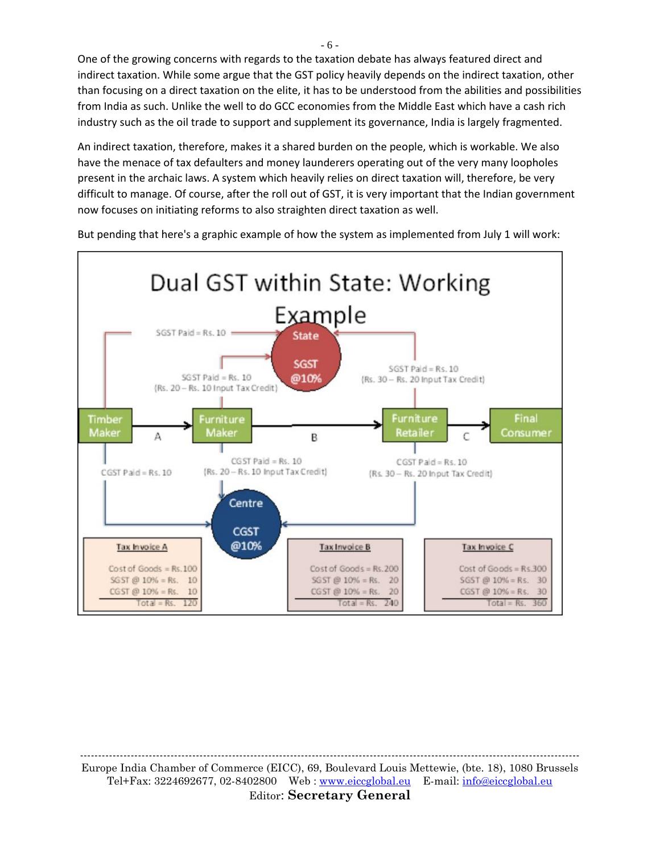One of the growing concerns with regards to the taxation debate has always featured direct and indirect taxation. While some argue that the GST policy heavily depends on the indirect taxation, other than focusing on a direct taxation on the elite, it has to be understood from the abilities and possibilities from India as such. Unlike the well to do GCC economies from the Middle East which have a cash rich industry such as the oil trade to support and supplement its governance, India is largely fragmented.

An indirect taxation, therefore, makes it a shared burden on the people, which is workable. We also have the menace of tax defaulters and money launderers operating out of the very many loopholes present in the archaic laws. A system which heavily relies on direct taxation will, therefore, be very difficult to manage. Of course, after the roll out of GST, it is very important that the Indian government now focuses on initiating reforms to also straighten direct taxation as well.



But pending that here's a graphic example of how the system as implemented from July 1 will work:

------------------------------------------------------------------------------------------------------------------------------------------ Europe India Chamber of Commerce (EICC), 69, Boulevard Louis Mettewie, (bte. 18), 1080 Brussels Tel+Fax: 3224692677, 02-8402800 Web : [www.eiccglobal.eu](http://www.eiccglobal.eu/) E-mail: [info@eiccglobal.eu](mailto:info@eiccglobal.eu) Editor: **Secretary General**

- 6 -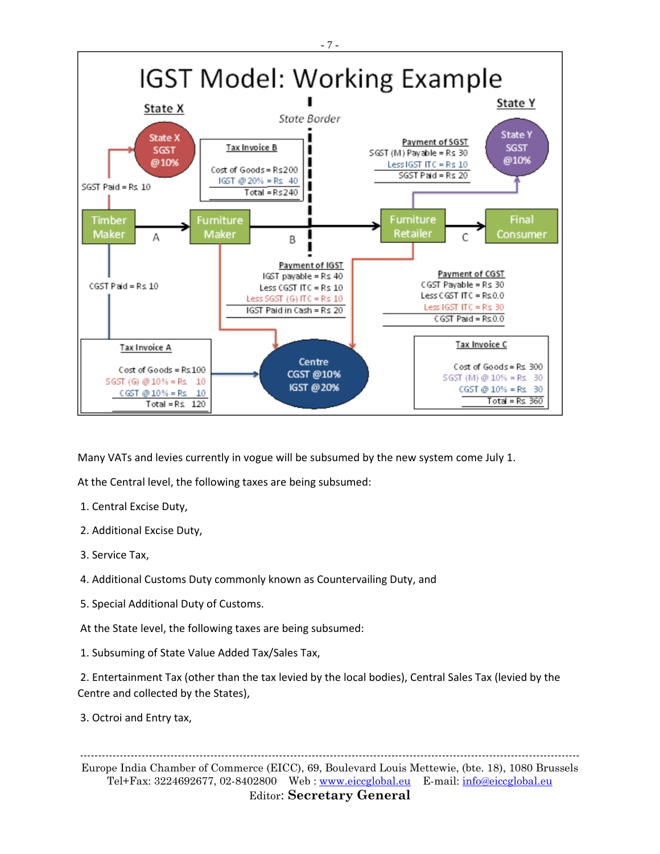

Many VATs and levies currently in vogue will be subsumed by the new system come July 1.

At the Central level, the following taxes are being subsumed:

- 1. Central Excise Duty,
- 2. Additional Excise Duty,
- 3. Service Tax,
- 4. Additional Customs Duty commonly known as Countervailing Duty, and
- 5. Special Additional Duty of Customs.
- At the State level, the following taxes are being subsumed:
- 1. Subsuming of State Value Added Tax/Sales Tax,

2. Entertainment Tax (other than the tax levied by the local bodies), Central Sales Tax (levied by the Centre and collected by the States),

3. Octroi and Entry tax,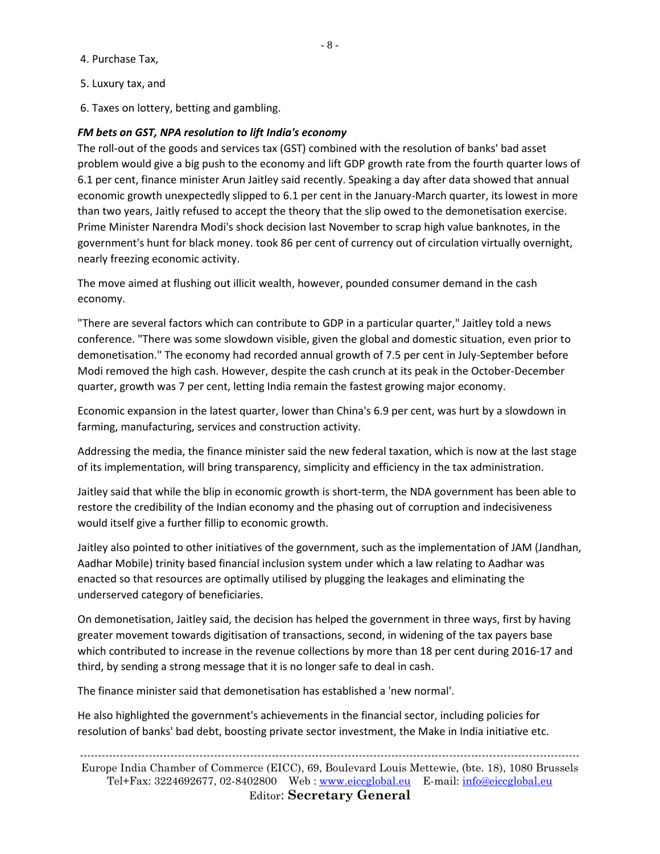4. Purchase Tax,

- 5. Luxury tax, and
- 6. Taxes on lottery, betting and gambling.

#### *FM bets on GST, NPA resolution to lift India's economy*

The roll-out of the goods and services tax (GST) combined with the resolution of banks' bad asset problem would give a big push to the economy and lift GDP growth rate from the fourth quarter lows of 6.1 per cent, finance minister Arun Jaitley said recently. Speaking a day after data showed that annual economic growth unexpectedly slipped to 6.1 per cent in the January-March quarter, its lowest in more than two years, Jaitly refused to accept the theory that the slip owed to the demonetisation exercise. Prime Minister Narendra Modi's shock decision last November to scrap high value banknotes, in the government's hunt for black money. took 86 per cent of currency out of circulation virtually overnight, nearly freezing economic activity.

The move aimed at flushing out illicit wealth, however, pounded consumer demand in the cash economy.

"There are several factors which can contribute to GDP in a particular quarter," Jaitley told a news conference. "There was some slowdown visible, given the global and domestic situation, even prior to demonetisation." The economy had recorded annual growth of 7.5 per cent in July-September before Modi removed the high cash. However, despite the cash crunch at its peak in the October-December quarter, growth was 7 per cent, letting India remain the fastest growing major economy.

Economic expansion in the latest quarter, lower than China's 6.9 per cent, was hurt by a slowdown in farming, manufacturing, services and construction activity.

Addressing the media, the finance minister said the new federal taxation, which is now at the last stage of its implementation, will bring transparency, simplicity and efficiency in the tax administration.

Jaitley said that while the blip in economic growth is short-term, the NDA government has been able to restore the credibility of the Indian economy and the phasing out of corruption and indecisiveness would itself give a further fillip to economic growth.

Jaitley also pointed to other initiatives of the government, such as the implementation of JAM (Jandhan, Aadhar Mobile) trinity based financial inclusion system under which a law relating to Aadhar was enacted so that resources are optimally utilised by plugging the leakages and eliminating the underserved category of beneficiaries.

On demonetisation, Jaitley said, the decision has helped the government in three ways, first by having greater movement towards digitisation of transactions, second, in widening of the tax payers base which contributed to increase in the revenue collections by more than 18 per cent during 2016-17 and third, by sending a strong message that it is no longer safe to deal in cash.

The finance minister said that demonetisation has established a 'new normal'.

He also highlighted the government's achievements in the financial sector, including policies for resolution of banks' bad debt, boosting private sector investment, the Make in India initiative etc.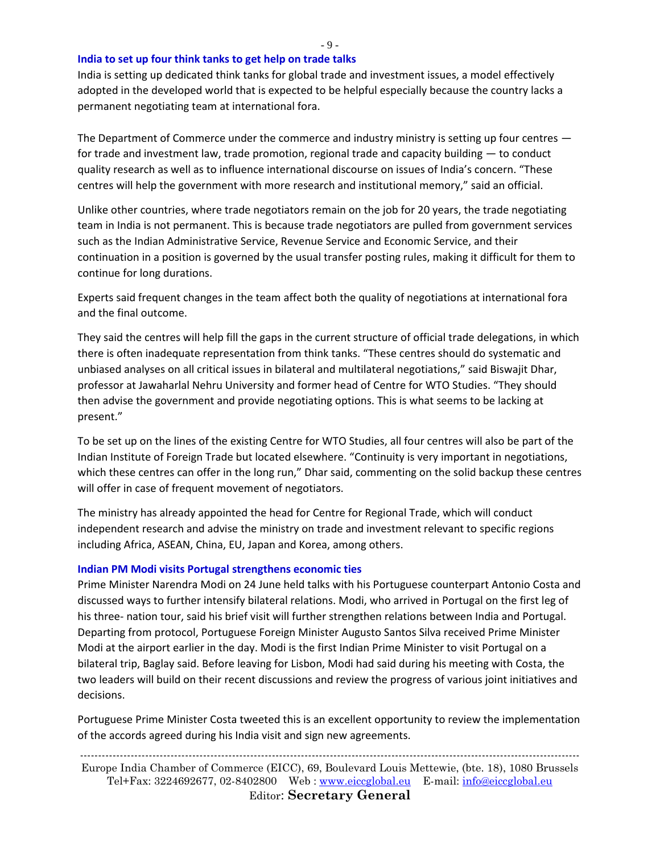**India to set up four think tanks to get help on trade talks**

India is setting up dedicated think tanks for global trade and investment issues, a model effectively adopted in the developed world that is expected to be helpful especially because the country lacks a permanent negotiating team at international fora.

The Department of Commerce under the commerce and industry ministry is setting up four centres for trade and investment law, trade promotion, regional trade and capacity building — to conduct quality research as well as to influence international discourse on issues of India's concern. "These centres will help the government with more research and institutional memory," said an official.

Unlike other countries, where trade negotiators remain on the job for 20 years, the trade negotiating team in India is not permanent. This is because trade negotiators are pulled from government services such as the Indian Administrative Service, Revenue Service and Economic Service, and their continuation in a position is governed by the usual transfer posting rules, making it difficult for them to continue for long durations.

Experts said frequent changes in the team affect both the quality of negotiations at international fora and the final outcome.

They said the centres will help fill the gaps in the current structure of official trade delegations, in which there is often inadequate representation from think tanks. "These centres should do systematic and unbiased analyses on all critical issues in bilateral and multilateral negotiations," said Biswajit Dhar, professor at Jawaharlal Nehru University and former head of Centre for WTO Studies. "They should then advise the government and provide negotiating options. This is what seems to be lacking at present."

To be set up on the lines of the existing Centre for WTO Studies, all four centres will also be part of the Indian Institute of Foreign Trade but located elsewhere. "Continuity is very important in negotiations, which these centres can offer in the long run," Dhar said, commenting on the solid backup these centres will offer in case of frequent movement of negotiators.

The ministry has already appointed the head for Centre for Regional Trade, which will conduct independent research and advise the ministry on trade and investment relevant to specific regions including Africa, ASEAN, China, EU, Japan and Korea, among others.

#### **Indian PM Modi visits Portugal strengthens economic ties**

Prime Minister Narendra Modi on 24 June held talks with his Portuguese counterpart Antonio Costa and discussed ways to further intensify bilateral relations. Modi, who arrived in Portugal on the first leg of his three- nation tour, said his brief visit will further strengthen relations between India and Portugal. Departing from protocol, Portuguese Foreign Minister Augusto Santos Silva received Prime Minister Modi at the airport earlier in the day. Modi is the first Indian Prime Minister to visit Portugal on a bilateral trip, Baglay said. Before leaving for Lisbon, Modi had said during his meeting with Costa, the two leaders will build on their recent discussions and review the progress of various joint initiatives and decisions.

Portuguese Prime Minister Costa tweeted this is an excellent opportunity to review the implementation of the accords agreed during his India visit and sign new agreements.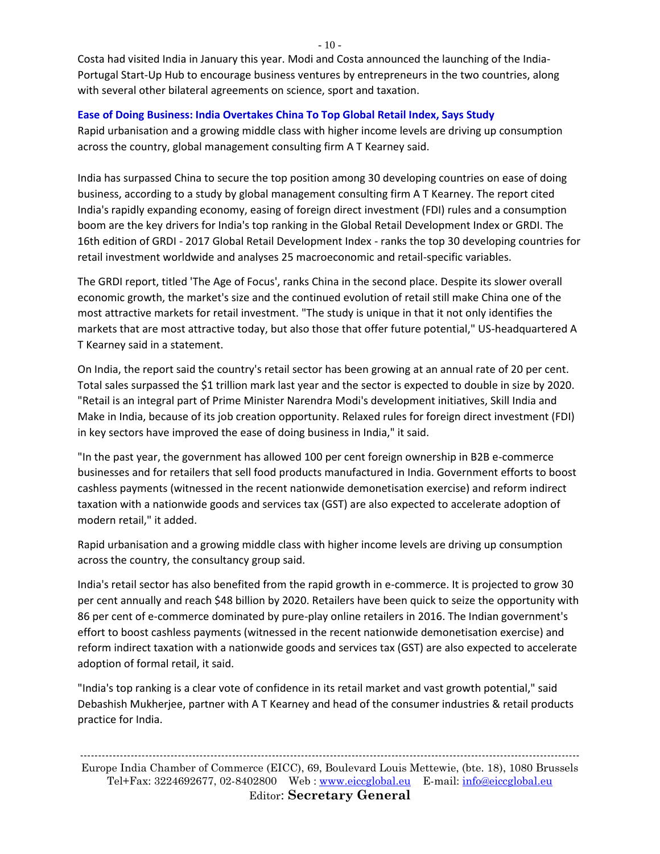Costa had visited India in January this year. Modi and Costa announced the launching of the India-Portugal Start-Up Hub to encourage business ventures by entrepreneurs in the two countries, along with several other bilateral agreements on science, sport and taxation.

#### **Ease of Doing Business: India Overtakes China To Top Global Retail Index, Says Study**

Rapid urbanisation and a growing middle class with higher income levels are driving up consumption across the country, global management consulting firm A T Kearney said.

India has surpassed China to secure the top position among 30 developing countries on ease of doing business, according to a study by global management consulting firm A T Kearney. The report cited India's rapidly expanding economy, easing of foreign direct investment (FDI) rules and a consumption boom are the key drivers for India's top ranking in the Global Retail Development Index or GRDI. The 16th edition of GRDI - 2017 Global Retail Development Index - ranks the top 30 developing countries for retail investment worldwide and analyses 25 macroeconomic and retail-specific variables.

The GRDI report, titled 'The Age of Focus', ranks China in the second place. Despite its slower overall economic growth, the market's size and the continued evolution of retail still make China one of the most attractive markets for retail investment. "The study is unique in that it not only identifies the markets that are most attractive today, but also those that offer future potential," US-headquartered A T Kearney said in a statement.

On India, the report said the country's retail sector has been growing at an annual rate of 20 per cent. Total sales surpassed the \$1 trillion mark last year and the sector is expected to double in size by 2020. "Retail is an integral part of Prime Minister Narendra Modi's development initiatives, Skill India and Make in India, because of its job creation opportunity. Relaxed rules for foreign direct investment (FDI) in key sectors have improved the ease of doing business in India," it said.

"In the past year, the government has allowed 100 per cent foreign ownership in B2B e-commerce businesses and for retailers that sell food products manufactured in India. Government efforts to boost cashless payments (witnessed in the recent nationwide demonetisation exercise) and reform indirect taxation with a nationwide goods and services tax (GST) are also expected to accelerate adoption of modern retail," it added.

Rapid urbanisation and a growing middle class with higher income levels are driving up consumption across the country, the consultancy group said.

India's retail sector has also benefited from the rapid growth in e-commerce. It is projected to grow 30 per cent annually and reach \$48 billion by 2020. Retailers have been quick to seize the opportunity with 86 per cent of e-commerce dominated by pure-play online retailers in 2016. The Indian government's effort to boost cashless payments (witnessed in the recent nationwide demonetisation exercise) and reform indirect taxation with a nationwide goods and services tax (GST) are also expected to accelerate adoption of formal retail, it said.

"India's top ranking is a clear vote of confidence in its retail market and vast growth potential," said Debashish Mukherjee, partner with A T Kearney and head of the consumer industries & retail products practice for India.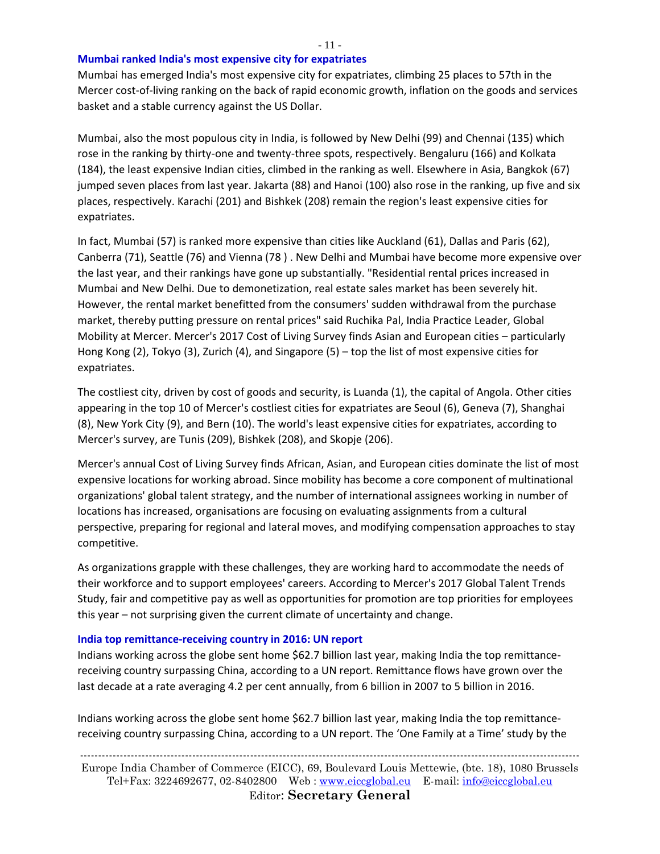- 11 -

#### **Mumbai ranked India's most expensive city for expatriates**

Mumbai has emerged India's most expensive city for expatriates, climbing 25 places to 57th in the Mercer cost-of-living ranking on the back of rapid economic growth, inflation on the goods and services basket and a stable currency against the US Dollar.

Mumbai, also the most populous city in India, is followed by New Delhi (99) and Chennai (135) which rose in the ranking by thirty-one and twenty-three spots, respectively. Bengaluru (166) and Kolkata (184), the least expensive Indian cities, climbed in the ranking as well. Elsewhere in Asia, Bangkok (67) jumped seven places from last year. Jakarta (88) and Hanoi (100) also rose in the ranking, up five and six places, respectively. Karachi (201) and Bishkek (208) remain the region's least expensive cities for expatriates.

In fact, Mumbai (57) is ranked more expensive than cities like Auckland (61), Dallas and Paris (62), Canberra (71), Seattle (76) and Vienna (78 ) . New Delhi and Mumbai have become more expensive over the last year, and their rankings have gone up substantially. "Residential rental prices increased in Mumbai and New Delhi. Due to demonetization, real estate sales market has been severely hit. However, the rental market benefitted from the consumers' sudden withdrawal from the purchase market, thereby putting pressure on rental prices" said Ruchika Pal, India Practice Leader, Global Mobility at Mercer. Mercer's 2017 Cost of Living Survey finds Asian and European cities – particularly Hong Kong (2), Tokyo (3), Zurich (4), and Singapore (5) – top the list of most expensive cities for expatriates.

The costliest city, driven by cost of goods and security, is Luanda (1), the capital of Angola. Other cities appearing in the top 10 of Mercer's costliest cities for expatriates are Seoul (6), Geneva (7), Shanghai (8), New York City (9), and Bern (10). The world's least expensive cities for expatriates, according to Mercer's survey, are Tunis (209), Bishkek (208), and Skopje (206).

Mercer's annual Cost of Living Survey finds African, Asian, and European cities dominate the list of most expensive locations for working abroad. Since mobility has become a core component of multinational organizations' global talent strategy, and the number of international assignees working in number of locations has increased, organisations are focusing on evaluating assignments from a cultural perspective, preparing for regional and lateral moves, and modifying compensation approaches to stay competitive.

As organizations grapple with these challenges, they are working hard to accommodate the needs of their workforce and to support employees' careers. According to Mercer's 2017 Global Talent Trends Study, fair and competitive pay as well as opportunities for promotion are top priorities for employees this year – not surprising given the current climate of uncertainty and change.

#### **India top remittance-receiving country in 2016: UN report**

Indians working across the globe sent home \$62.7 billion last year, making India the top remittancereceiving country surpassing China, according to a UN report. Remittance flows have grown over the last decade at a rate averaging 4.2 per cent annually, from 6 billion in 2007 to 5 billion in 2016.

Indians working across the globe sent home \$62.7 billion last year, making India the top remittancereceiving country surpassing China, according to a UN report. The 'One Family at a Time' study by the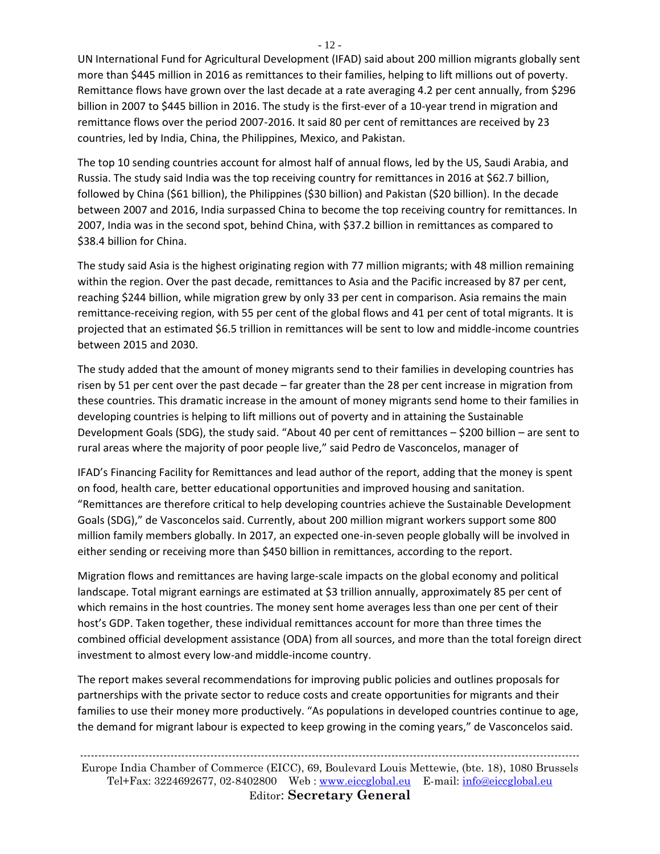UN International Fund for Agricultural Development (IFAD) said about 200 million migrants globally sent more than \$445 million in 2016 as remittances to their families, helping to lift millions out of poverty. Remittance flows have grown over the last decade at a rate averaging 4.2 per cent annually, from \$296 billion in 2007 to \$445 billion in 2016. The study is the first-ever of a 10-year trend in migration and remittance flows over the period 2007-2016. It said 80 per cent of remittances are received by 23 countries, led by India, China, the Philippines, Mexico, and Pakistan.

The top 10 sending countries account for almost half of annual flows, led by the US, Saudi Arabia, and Russia. The study said India was the top receiving country for remittances in 2016 at \$62.7 billion, followed by China (\$61 billion), the Philippines (\$30 billion) and Pakistan (\$20 billion). In the decade between 2007 and 2016, India surpassed China to become the top receiving country for remittances. In 2007, India was in the second spot, behind China, with \$37.2 billion in remittances as compared to \$38.4 billion for China.

The study said Asia is the highest originating region with 77 million migrants; with 48 million remaining within the region. Over the past decade, remittances to Asia and the Pacific increased by 87 per cent, reaching \$244 billion, while migration grew by only 33 per cent in comparison. Asia remains the main remittance-receiving region, with 55 per cent of the global flows and 41 per cent of total migrants. It is projected that an estimated \$6.5 trillion in remittances will be sent to low and middle-income countries between 2015 and 2030.

The study added that the amount of money migrants send to their families in developing countries has risen by 51 per cent over the past decade – far greater than the 28 per cent increase in migration from these countries. This dramatic increase in the amount of money migrants send home to their families in developing countries is helping to lift millions out of poverty and in attaining the Sustainable Development Goals (SDG), the study said. "About 40 per cent of remittances – \$200 billion – are sent to rural areas where the majority of poor people live," said Pedro de Vasconcelos, manager of

IFAD's Financing Facility for Remittances and lead author of the report, adding that the money is spent on food, health care, better educational opportunities and improved housing and sanitation. "Remittances are therefore critical to help developing countries achieve the Sustainable Development Goals (SDG)," de Vasconcelos said. Currently, about 200 million migrant workers support some 800 million family members globally. In 2017, an expected one-in-seven people globally will be involved in either sending or receiving more than \$450 billion in remittances, according to the report.

Migration flows and remittances are having large-scale impacts on the global economy and political landscape. Total migrant earnings are estimated at \$3 trillion annually, approximately 85 per cent of which remains in the host countries. The money sent home averages less than one per cent of their host's GDP. Taken together, these individual remittances account for more than three times the combined official development assistance (ODA) from all sources, and more than the total foreign direct investment to almost every low-and middle-income country.

The report makes several recommendations for improving public policies and outlines proposals for partnerships with the private sector to reduce costs and create opportunities for migrants and their families to use their money more productively. "As populations in developed countries continue to age, the demand for migrant labour is expected to keep growing in the coming years," de Vasconcelos said.

- 12 -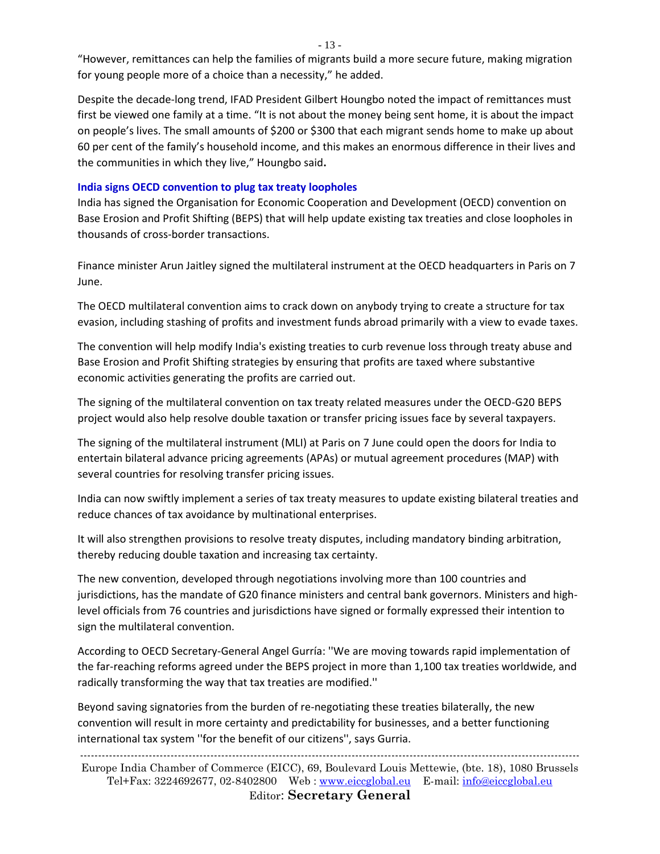- 13 -

"However, remittances can help the families of migrants build a more secure future, making migration for young people more of a choice than a necessity," he added.

Despite the decade-long trend, IFAD President Gilbert Houngbo noted the impact of remittances must first be viewed one family at a time. "It is not about the money being sent home, it is about the impact on people's lives. The small amounts of \$200 or \$300 that each migrant sends home to make up about 60 per cent of the family's household income, and this makes an enormous difference in their lives and the communities in which they live," Houngbo said**.**

#### **India signs OECD convention to plug tax treaty loopholes**

India has signed the Organisation for Economic Cooperation and Development (OECD) convention on Base Erosion and Profit Shifting (BEPS) that will help update existing tax treaties and close loopholes in thousands of cross-border transactions.

Finance minister Arun Jaitley signed the multilateral instrument at the OECD headquarters in Paris on 7 June.

The OECD multilateral convention aims to crack down on anybody trying to create a structure for tax evasion, including stashing of profits and investment funds abroad primarily with a view to evade taxes.

The convention will help modify India's existing treaties to curb revenue loss through treaty abuse and Base Erosion and Profit Shifting strategies by ensuring that profits are taxed where substantive economic activities generating the profits are carried out.

The signing of the multilateral convention on tax treaty related measures under the OECD-G20 BEPS project would also help resolve double taxation or transfer pricing issues face by several taxpayers.

The signing of the multilateral instrument (MLI) at Paris on 7 June could open the doors for India to entertain bilateral advance pricing agreements (APAs) or mutual agreement procedures (MAP) with several countries for resolving transfer pricing issues.

India can now swiftly implement a series of tax treaty measures to update existing bilateral treaties and reduce chances of tax avoidance by multinational enterprises.

It will also strengthen provisions to resolve treaty disputes, including mandatory binding arbitration, thereby reducing double taxation and increasing tax certainty.

The new convention, developed through negotiations involving more than 100 countries and jurisdictions, has the mandate of G20 finance ministers and central bank governors. Ministers and highlevel officials from 76 countries and jurisdictions have signed or formally expressed their intention to sign the multilateral convention.

According to OECD Secretary-General Angel Gurría: ''We are moving towards rapid implementation of the far-reaching reforms agreed under the BEPS project in more than 1,100 tax treaties worldwide, and radically transforming the way that tax treaties are modified.''

Beyond saving signatories from the burden of re-negotiating these treaties bilaterally, the new convention will result in more certainty and predictability for businesses, and a better functioning international tax system ''for the benefit of our citizens'', says Gurria.

------------------------------------------------------------------------------------------------------------------------------------------ Europe India Chamber of Commerce (EICC), 69, Boulevard Louis Mettewie, (bte. 18), 1080 Brussels Tel+Fax: 3224692677, 02-8402800 Web : [www.eiccglobal.eu](http://www.eiccglobal.eu/) E-mail: [info@eiccglobal.eu](mailto:info@eiccglobal.eu)

#### Editor: **Secretary General**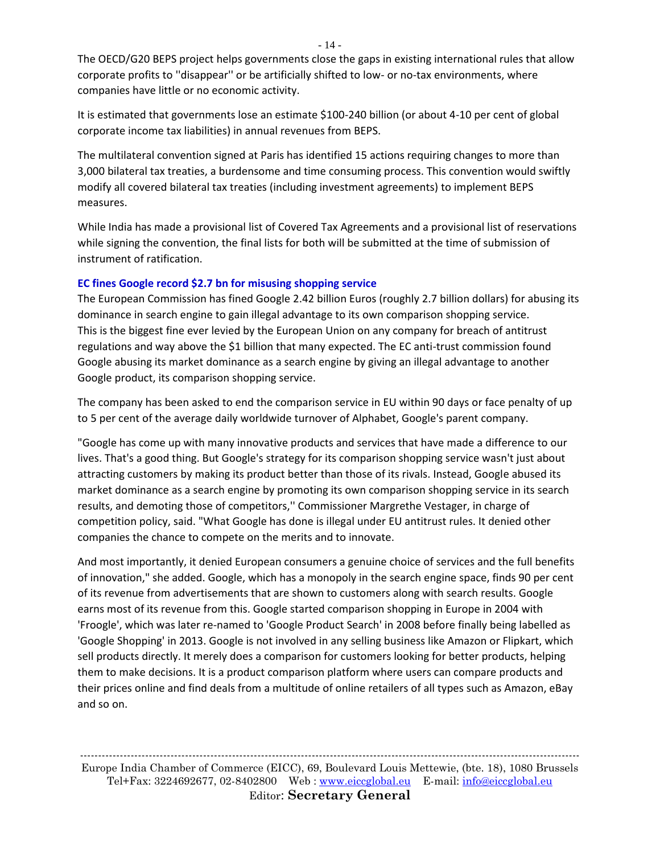The OECD/G20 BEPS project helps governments close the gaps in existing international rules that allow corporate profits to ''disappear'' or be artificially shifted to low- or no-tax environments, where companies have little or no economic activity.

It is estimated that governments lose an estimate \$100-240 billion (or about 4-10 per cent of global corporate income tax liabilities) in annual revenues from BEPS.

The multilateral convention signed at Paris has identified 15 actions requiring changes to more than 3,000 bilateral tax treaties, a burdensome and time consuming process. This convention would swiftly modify all covered bilateral tax treaties (including investment agreements) to implement BEPS measures.

While India has made a provisional list of Covered Tax Agreements and a provisional list of reservations while signing the convention, the final lists for both will be submitted at the time of submission of instrument of ratification.

# **EC fines Google record \$2.7 bn for misusing shopping service**

The European Commission has fined Google 2.42 billion Euros (roughly 2.7 billion dollars) for abusing its dominance in search engine to gain illegal advantage to its own comparison shopping service. This is the biggest fine ever levied by the European Union on any company for breach of antitrust regulations and way above the \$1 billion that many expected. The EC anti-trust commission found Google abusing its market dominance as a search engine by giving an illegal advantage to another Google product, its comparison shopping service.

The company has been asked to end the comparison service in EU within 90 days or face penalty of up to 5 per cent of the average daily worldwide turnover of Alphabet, Google's parent company.

"Google has come up with many innovative products and services that have made a difference to our lives. That's a good thing. But Google's strategy for its comparison shopping service wasn't just about attracting customers by making its product better than those of its rivals. Instead, Google abused its market dominance as a search engine by promoting its own comparison shopping service in its search results, and demoting those of competitors,'' Commissioner Margrethe Vestager, in charge of competition policy, said. "What Google has done is illegal under EU antitrust rules. It denied other companies the chance to compete on the merits and to innovate.

And most importantly, it denied European consumers a genuine choice of services and the full benefits of innovation," she added. Google, which has a monopoly in the search engine space, finds 90 per cent of its revenue from advertisements that are shown to customers along with search results. Google earns most of its revenue from this. Google started comparison shopping in Europe in 2004 with 'Froogle', which was later re-named to 'Google Product Search' in 2008 before finally being labelled as 'Google Shopping' in 2013. Google is not involved in any selling business like Amazon or Flipkart, which sell products directly. It merely does a comparison for customers looking for better products, helping them to make decisions. It is a product comparison platform where users can compare products and their prices online and find deals from a multitude of online retailers of all types such as Amazon, eBay and so on.

------------------------------------------------------------------------------------------------------------------------------------------ Europe India Chamber of Commerce (EICC), 69, Boulevard Louis Mettewie, (bte. 18), 1080 Brussels Tel+Fax: 3224692677, 02-8402800 Web : [www.eiccglobal.eu](http://www.eiccglobal.eu/) E-mail: [info@eiccglobal.eu](mailto:info@eiccglobal.eu) Editor: **Secretary General**

- 14 -